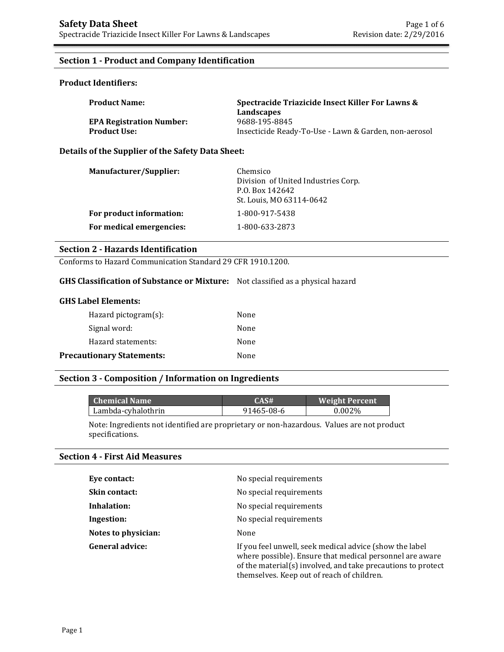## **Section 1 - Product and Company Identification**

## **Product Identifiers:**

| <b>Product Name:</b>            | Spectracide Triazicide Insect Killer For Lawns &      |
|---------------------------------|-------------------------------------------------------|
|                                 | Landscapes                                            |
| <b>EPA Registration Number:</b> | 9688-195-8845                                         |
| <b>Product Use:</b>             | Insecticide Ready-To-Use - Lawn & Garden, non-aerosol |

#### **Details of the Supplier of the Safety Data Sheet:**

| Manufacturer/Supplier:   | Chemsico<br>Division of United Industries Corp.<br>P.O. Box 142642<br>St. Louis, MO 63114-0642 |
|--------------------------|------------------------------------------------------------------------------------------------|
| For product information: | 1-800-917-5438                                                                                 |
| For medical emergencies: | 1-800-633-2873                                                                                 |

## **Section 2 - Hazards Identification**

Conforms to Hazard Communication Standard 29 CFR 1910.1200.

## **GHS Classification of Substance or Mixture:** Not classified as a physical hazard

| <b>GHS Label Elements:</b>               |      |
|------------------------------------------|------|
| Hazard pictogram $(s)$ :                 | None |
| Signal word:                             | None |
| Hazard statements:                       | None |
| <b>Precautionary Statements:</b><br>None |      |

## **Section 3 - Composition / Information on Ingredients**

| <b>Chemical Name</b> | CAS#       | <b>Weight Percent</b> |
|----------------------|------------|-----------------------|
| Lambda-cyhalothrin   | 91465-08-6 | 0.002%                |

Note: Ingredients not identified are proprietary or non-hazardous. Values are not product specifications.

## **Section 4 - First Aid Measures**

| Eye contact:           | No special requirements                                                                                                                                                                                                           |
|------------------------|-----------------------------------------------------------------------------------------------------------------------------------------------------------------------------------------------------------------------------------|
| Skin contact:          | No special requirements                                                                                                                                                                                                           |
| Inhalation:            | No special requirements                                                                                                                                                                                                           |
| Ingestion:             | No special requirements                                                                                                                                                                                                           |
| Notes to physician:    | None                                                                                                                                                                                                                              |
| <b>General advice:</b> | If you feel unwell, seek medical advice (show the label<br>where possible). Ensure that medical personnel are aware<br>of the material(s) involved, and take precautions to protect<br>themselves. Keep out of reach of children. |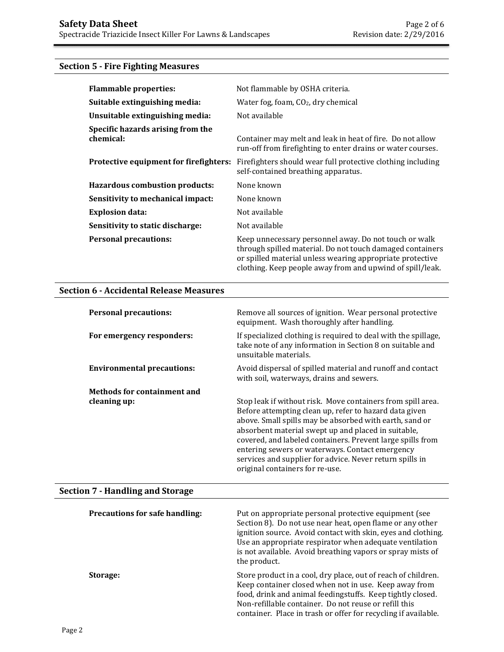# **Section 5 - Fire Fighting Measures**

| <b>Flammable properties:</b>                   | Not flammable by OSHA criteria.                                                                                                                                                                                                              |
|------------------------------------------------|----------------------------------------------------------------------------------------------------------------------------------------------------------------------------------------------------------------------------------------------|
| Suitable extinguishing media:                  | Water fog, foam, $CO2$ , dry chemical                                                                                                                                                                                                        |
| Unsuitable extinguishing media:                | Not available                                                                                                                                                                                                                                |
| Specific hazards arising from the<br>chemical: | Container may melt and leak in heat of fire. Do not allow<br>run-off from firefighting to enter drains or water courses.                                                                                                                     |
| Protective equipment for firefighters:         | Firefighters should wear full protective clothing including<br>self-contained breathing apparatus.                                                                                                                                           |
| <b>Hazardous combustion products:</b>          | None known                                                                                                                                                                                                                                   |
| Sensitivity to mechanical impact:              | None known                                                                                                                                                                                                                                   |
| <b>Explosion data:</b>                         | Not available                                                                                                                                                                                                                                |
| Sensitivity to static discharge:               | Not available                                                                                                                                                                                                                                |
| <b>Personal precautions:</b>                   | Keep unnecessary personnel away. Do not touch or walk<br>through spilled material. Do not touch damaged containers<br>or spilled material unless wearing appropriate protective<br>clothing. Keep people away from and upwind of spill/leak. |

## **Section 6 - Accidental Release Measures**

| <b>Personal precautions:</b>       | Remove all sources of ignition. Wear personal protective<br>equipment. Wash thoroughly after handling.                                                                                                                                                                                                                                                                                                                                                  |
|------------------------------------|---------------------------------------------------------------------------------------------------------------------------------------------------------------------------------------------------------------------------------------------------------------------------------------------------------------------------------------------------------------------------------------------------------------------------------------------------------|
| For emergency responders:          | If specialized clothing is required to deal with the spillage,<br>take note of any information in Section 8 on suitable and<br>unsuitable materials.                                                                                                                                                                                                                                                                                                    |
| <b>Environmental precautions:</b>  | Avoid dispersal of spilled material and runoff and contact<br>with soil, waterways, drains and sewers.                                                                                                                                                                                                                                                                                                                                                  |
| <b>Methods for containment and</b> |                                                                                                                                                                                                                                                                                                                                                                                                                                                         |
| cleaning up:                       | Stop leak if without risk. Move containers from spill area.<br>Before attempting clean up, refer to hazard data given<br>above. Small spills may be absorbed with earth, sand or<br>absorbent material swept up and placed in suitable,<br>covered, and labeled containers. Prevent large spills from<br>entering sewers or waterways. Contact emergency<br>services and supplier for advice. Never return spills in<br>original containers for re-use. |

# **Section 7 - Handling and Storage**

| <b>Precautions for safe handling:</b> | Put on appropriate personal protective equipment (see<br>Section 8). Do not use near heat, open flame or any other<br>ignition source. Avoid contact with skin, eyes and clothing.<br>Use an appropriate respirator when adequate ventilation<br>is not available. Avoid breathing vapors or spray mists of<br>the product. |
|---------------------------------------|-----------------------------------------------------------------------------------------------------------------------------------------------------------------------------------------------------------------------------------------------------------------------------------------------------------------------------|
| Storage:                              | Store product in a cool, dry place, out of reach of children.<br>Keep container closed when not in use. Keep away from<br>food, drink and animal feedingstuffs. Keep tightly closed.<br>Non-refillable container. Do not reuse or refill this<br>container. Place in trash or offer for recycling if available.             |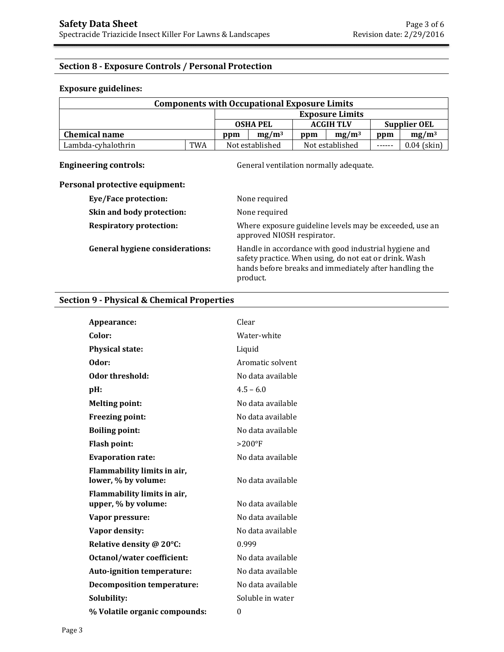## **Section 8 - Exposure Controls / Personal Protection**

## **Exposure guidelines:**

| <b>Components with Occupational Exposure Limits</b> |            |                 |                 |                  |                        |                     |               |
|-----------------------------------------------------|------------|-----------------|-----------------|------------------|------------------------|---------------------|---------------|
|                                                     |            |                 |                 |                  | <b>Exposure Limits</b> |                     |               |
|                                                     |            | <b>OSHA PEL</b> |                 | <b>ACGIH TLV</b> |                        | <b>Supplier OEL</b> |               |
| <b>Chemical name</b>                                |            | ppm             | $mg/m^3$        | ppm              | $mg/m^3$               | ppm                 | $mg/m^3$      |
| Lambda-cyhalothrin                                  | <b>TWA</b> |                 | Not established |                  | Not established        | $\frac{1}{2}$       | $0.04$ (skin) |

**Engineering controls: Controls: General ventilation normally adequate.** 

## **Personal protective equipment:**

| <b>Eye/Face protection:</b>            | None required                                                                                                                                                                         |
|----------------------------------------|---------------------------------------------------------------------------------------------------------------------------------------------------------------------------------------|
| Skin and body protection:              | None required                                                                                                                                                                         |
| <b>Respiratory protection:</b>         | Where exposure guideline levels may be exceeded, use an<br>approved NIOSH respirator.                                                                                                 |
| <b>General hygiene considerations:</b> | Handle in accordance with good industrial hygiene and<br>safety practice. When using, do not eat or drink. Wash<br>hands before breaks and immediately after handling the<br>product. |

## **Section 9 - Physical & Chemical Properties**

| Appearance:                                        | Clear             |
|----------------------------------------------------|-------------------|
| Color:                                             | Water-white       |
| <b>Physical state:</b>                             | Liquid            |
| Odor:                                              | Aromatic solvent  |
| Odor threshold:                                    | No data available |
| pH:                                                | $4.5 - 6.0$       |
| <b>Melting point:</b>                              | No data available |
| <b>Freezing point:</b>                             | No data available |
| <b>Boiling point:</b>                              | No data available |
| <b>Flash point:</b>                                | $>200^\circ F$    |
| <b>Evaporation rate:</b>                           | No data available |
| Flammability limits in air,<br>lower, % by volume: | No data available |
| Flammability limits in air,<br>upper, % by volume: | No data available |
| Vapor pressure:                                    | No data available |
| Vapor density:                                     | No data available |
| Relative density @ 20°C:                           | 0.999             |
| <b>Octanol/water coefficient:</b>                  | No data available |
| Auto-ignition temperature:                         | No data available |
| <b>Decomposition temperature:</b>                  | No data available |
| Solubility:                                        | Soluble in water  |
| % Volatile organic compounds:                      | $\boldsymbol{0}$  |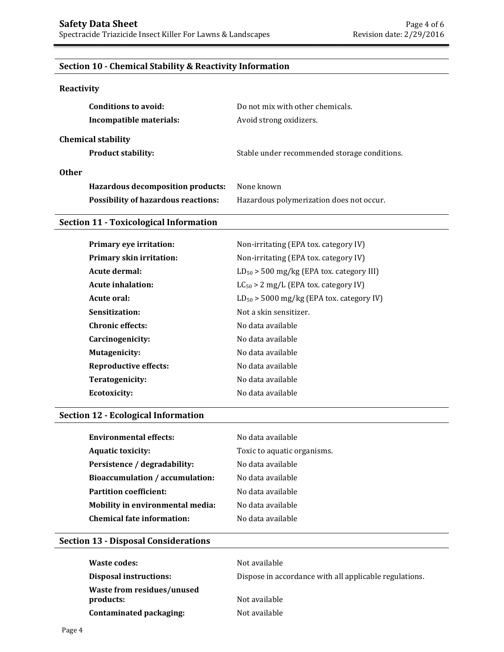## **Section 10 - Chemical Stability & Reactivity Information**

## **Reactivity**

| Conditions to avoid:<br>Incompatible materials:        | Do not mix with other chemicals.<br>Avoid strong oxidizers. |
|--------------------------------------------------------|-------------------------------------------------------------|
| <b>Chemical stability</b><br><b>Product stability:</b> | Stable under recommended storage conditions.                |
| Other                                                  |                                                             |
| <b>Hazardous decomposition products:</b>               | None known                                                  |
| <b>Possibility of hazardous reactions:</b>             | Hazardous polymerization does not occur.                    |

## **Section 11 - Toxicological Information**

| Primary eye irritation:         | Non-irritating (EPA tox. category IV)         |
|---------------------------------|-----------------------------------------------|
| <b>Primary skin irritation:</b> | Non-irritating (EPA tox. category IV)         |
| Acute dermal:                   | $LD_{50}$ > 500 mg/kg (EPA tox. category III) |
| <b>Acute inhalation:</b>        | $LC_{50} > 2$ mg/L (EPA tox. category IV)     |
| Acute oral:                     | $LD_{50}$ > 5000 mg/kg (EPA tox. category IV) |
| Sensitization:                  | Not a skin sensitizer.                        |
| <b>Chronic effects:</b>         | No data available                             |
| Carcinogenicity:                | No data available                             |
| <b>Mutagenicity:</b>            | No data available                             |
| <b>Reproductive effects:</b>    | No data available                             |
| Teratogenicity:                 | No data available                             |
| <b>Ecotoxicity:</b>             | No data available                             |
|                                 |                                               |

## **Section 12 - Ecological Information**

| Environmental effects:           | No data available           |
|----------------------------------|-----------------------------|
| <b>Aquatic toxicity:</b>         | Toxic to aquatic organisms. |
| Persistence / degradability:     | No data available           |
| Bioaccumulation / accumulation:  | No data available           |
| <b>Partition coefficient:</b>    | No data available           |
| Mobility in environmental media: | No data available           |
| Chemical fate information:       | No data available           |
|                                  |                             |

## **Section 13 - Disposal Considerations**

| Waste codes:                                   | Not available                                          |
|------------------------------------------------|--------------------------------------------------------|
| Disposal instructions:                         | Dispose in accordance with all applicable regulations. |
| <b>Waste from residues/unused</b><br>products: | Not available                                          |
| Contaminated packaging:                        | Not available                                          |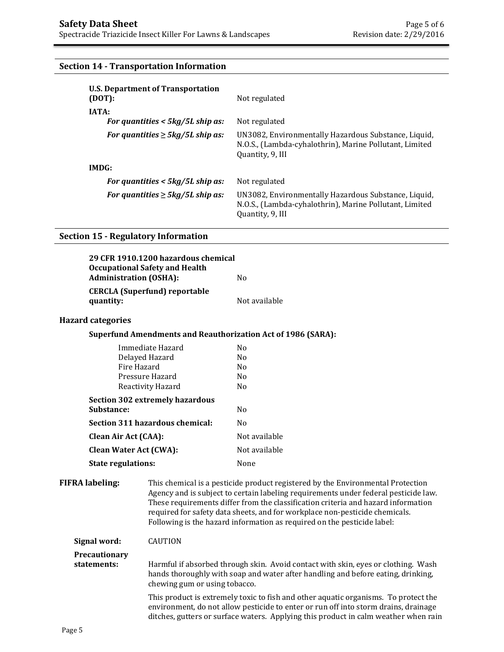## **Section 14 - Transportation Information**

| <b>U.S. Department of Transportation</b><br>(DOT): | Not regulated                                                                                                                       |
|----------------------------------------------------|-------------------------------------------------------------------------------------------------------------------------------------|
| <b>IATA:</b>                                       |                                                                                                                                     |
| For quantities $< 5 \frac{kq}{5}$ L ship as:       | Not regulated                                                                                                                       |
| For quantities $\geq$ 5kg/5L ship as:              | UN3082, Environmentally Hazardous Substance, Liquid,<br>N.O.S., (Lambda-cyhalothrin), Marine Pollutant, Limited<br>Quantity, 9, III |
| IMDG:                                              |                                                                                                                                     |
| For quantities $<$ 5kg/5L ship as:                 | Not regulated                                                                                                                       |
| For quantities $\geq$ 5kg/5L ship as:              | UN3082, Environmentally Hazardous Substance, Liquid,<br>N.O.S., (Lambda-cyhalothrin), Marine Pollutant, Limited<br>Quantity, 9, III |

#### **Section 15 - Regulatory Information**

| 29 CFR 1910.1200 hazardous chemical   |               |
|---------------------------------------|---------------|
| <b>Occupational Safety and Health</b> |               |
| <b>Administration (OSHA):</b>         | Nο            |
| <b>CERCLA</b> (Superfund) reportable  |               |
| quantity:                             | Not available |

#### **Hazard categories**

| <b>Superfund Amendments and Reauthorization Act of 1986 (SARA):</b> |  |
|---------------------------------------------------------------------|--|
|---------------------------------------------------------------------|--|

| Immediate Hazard                | No             |
|---------------------------------|----------------|
| Delayed Hazard                  | N <sub>0</sub> |
| Fire Hazard                     | N <sub>0</sub> |
| Pressure Hazard                 | N <sub>0</sub> |
| Reactivity Hazard               | N <sub>0</sub> |
| Section 302 extremely hazardous |                |
| Substance:                      | N <sub>0</sub> |
| Section 311 hazardous chemical: | N <sub>0</sub> |
| Clean Air Act (CAA):            | Not available  |
| <b>Clean Water Act (CWA):</b>   | Not available  |
| <b>State regulations:</b>       | None           |

**FIFRA labeling:** This chemical is a pesticide product registered by the Environmental Protection Agency and is subject to certain labeling requirements under federal pesticide law. These requirements differ from the classification criteria and hazard information required for safety data sheets, and for workplace non-pesticide chemicals. Following is the hazard information as required on the pesticide label:

**Signal word:** CAUTION

## **Precautionary statements:** Harmful if absorbed through skin. Avoid contact with skin, eyes or clothing. Wash hands thoroughly with soap and water after handling and before eating, drinking, chewing gum or using tobacco.

 This product is extremely toxic to fish and other aquatic organisms. To protect the environment, do not allow pesticide to enter or run off into storm drains, drainage ditches, gutters or surface waters. Applying this product in calm weather when rain